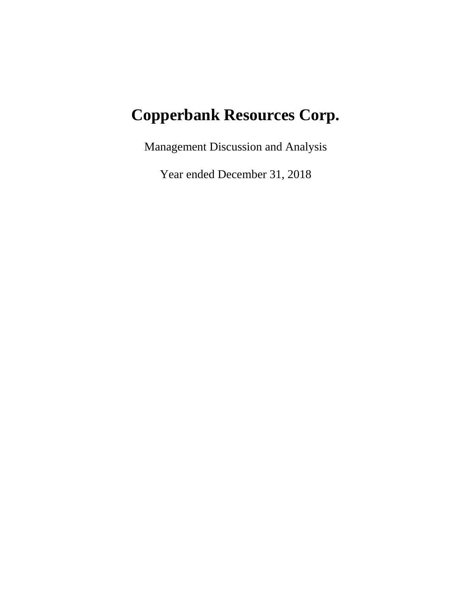# **Copperbank Resources Corp.**

Management Discussion and Analysis

Year ended December 31, 2018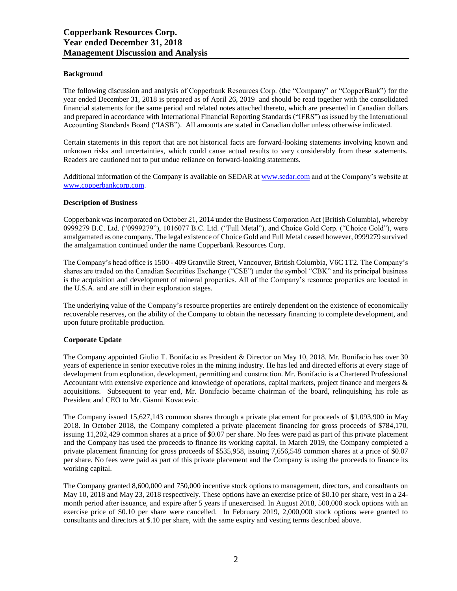# **Background**

The following discussion and analysis of Copperbank Resources Corp. (the "Company" or "CopperBank") for the year ended December 31, 2018 is prepared as of April 26, 2019 and should be read together with the consolidated financial statements for the same period and related notes attached thereto, which are presented in Canadian dollars and prepared in accordance with International Financial Reporting Standards ("IFRS") as issued by the International Accounting Standards Board ("IASB"). All amounts are stated in Canadian dollar unless otherwise indicated.

Certain statements in this report that are not historical facts are forward-looking statements involving known and unknown risks and uncertainties, which could cause actual results to vary considerably from these statements. Readers are cautioned not to put undue reliance on forward-looking statements.

Additional information of the Company is available on SEDAR at [www.sedar.com](http://www.sedar.com/) and at the Company's website at [www.copperbankcorp.com.](http://www.copperbankcorp.com/) 

#### **Description of Business**

Copperbank was incorporated on October 21, 2014 under the Business Corporation Act (British Columbia), whereby 0999279 B.C. Ltd. ("0999279"), 1016077 B.C. Ltd. ("Full Metal"), and Choice Gold Corp. ("Choice Gold"), were amalgamated as one company. The legal existence of Choice Gold and Full Metal ceased however, 0999279 survived the amalgamation continued under the name Copperbank Resources Corp.

The Company's head office is 1500 - 409 Granville Street, Vancouver, British Columbia, V6C 1T2. The Company's shares are traded on the Canadian Securities Exchange ("CSE") under the symbol "CBK" and its principal business is the acquisition and development of mineral properties. All of the Company's resource properties are located in the U.S.A. and are still in their exploration stages.

The underlying value of the Company's resource properties are entirely dependent on the existence of economically recoverable reserves, on the ability of the Company to obtain the necessary financing to complete development, and upon future profitable production.

#### **Corporate Update**

The Company appointed Giulio T. Bonifacio as President & Director on May 10, 2018. Mr. Bonifacio has over 30 years of experience in senior executive roles in the mining industry. He has led and directed efforts at every stage of development from exploration, development, permitting and construction. Mr. Bonifacio is a Chartered Professional Accountant with extensive experience and knowledge of operations, capital markets, project finance and mergers & acquisitions. Subsequent to year end, Mr. Bonifacio became chairman of the board, relinquishing his role as President and CEO to Mr. Gianni Kovacevic.

The Company issued 15,627,143 common shares through a private placement for proceeds of \$1,093,900 in May 2018. In October 2018, the Company completed a private placement financing for gross proceeds of \$784,170, issuing 11,202,429 common shares at a price of \$0.07 per share. No fees were paid as part of this private placement and the Company has used the proceeds to finance its working capital. In March 2019, the Company completed a private placement financing for gross proceeds of \$535,958, issuing 7,656,548 common shares at a price of \$0.07 per share. No fees were paid as part of this private placement and the Company is using the proceeds to finance its working capital.

The Company granted 8,600,000 and 750,000 incentive stock options to management, directors, and consultants on May 10, 2018 and May 23, 2018 respectively. These options have an exercise price of \$0.10 per share, vest in a 24 month period after issuance, and expire after 5 years if unexercised. In August 2018, 500,000 stock options with an exercise price of \$0.10 per share were cancelled. In February 2019, 2,000,000 stock options were granted to consultants and directors at \$.10 per share, with the same expiry and vesting terms described above.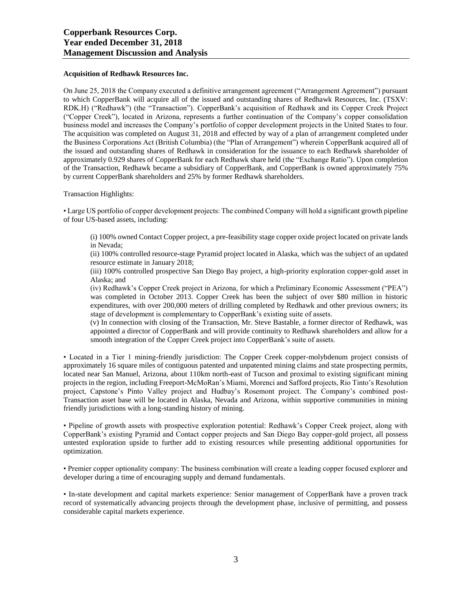#### **Acquisition of Redhawk Resources Inc.**

On June 25, 2018 the Company executed a definitive arrangement agreement ("Arrangement Agreement") pursuant to which CopperBank will acquire all of the issued and outstanding shares of Redhawk Resources, Inc. (TSXV: RDK.H) ("Redhawk") (the "Transaction"). CopperBank's acquisition of Redhawk and its Copper Creek Project ("Copper Creek"), located in Arizona, represents a further continuation of the Company's copper consolidation business model and increases the Company's portfolio of copper development projects in the United States to four. The acquisition was completed on August 31, 2018 and effected by way of a plan of arrangement completed under the Business Corporations Act (British Columbia) (the "Plan of Arrangement") wherein CopperBank acquired all of the issued and outstanding shares of Redhawk in consideration for the issuance to each Redhawk shareholder of approximately 0.929 shares of CopperBank for each Redhawk share held (the "Exchange Ratio"). Upon completion of the Transaction, Redhawk became a subsidiary of CopperBank, and CopperBank is owned approximately 75% by current CopperBank shareholders and 25% by former Redhawk shareholders.

Transaction Highlights:

• Large US portfolio of copper development projects: The combined Company will hold a significant growth pipeline of four US-based assets, including:

(i) 100% owned Contact Copper project, a pre-feasibility stage copper oxide project located on private lands in Nevada;

(ii) 100% controlled resource-stage Pyramid project located in Alaska, which was the subject of an updated resource estimate in January 2018;

(iii) 100% controlled prospective San Diego Bay project, a high-priority exploration copper-gold asset in Alaska; and

(iv) Redhawk's Copper Creek project in Arizona, for which a Preliminary Economic Assessment ("PEA") was completed in October 2013. Copper Creek has been the subject of over \$80 million in historic expenditures, with over 200,000 meters of drilling completed by Redhawk and other previous owners; its stage of development is complementary to CopperBank's existing suite of assets.

(v) In connection with closing of the Transaction, Mr. Steve Bastable, a former director of Redhawk, was appointed a director of CopperBank and will provide continuity to Redhawk shareholders and allow for a smooth integration of the Copper Creek project into CopperBank's suite of assets.

• Located in a Tier 1 mining-friendly jurisdiction: The Copper Creek copper-molybdenum project consists of approximately 16 square miles of contiguous patented and unpatented mining claims and state prospecting permits, located near San Manuel, Arizona, about 110km north-east of Tucson and proximal to existing significant mining projects in the region, including Freeport-McMoRan's Miami, Morenci and Safford projects, Rio Tinto's Resolution project, Capstone's Pinto Valley project and Hudbay's Rosemont project. The Company's combined post-Transaction asset base will be located in Alaska, Nevada and Arizona, within supportive communities in mining friendly jurisdictions with a long-standing history of mining.

• Pipeline of growth assets with prospective exploration potential: Redhawk's Copper Creek project, along with CopperBank's existing Pyramid and Contact copper projects and San Diego Bay copper-gold project, all possess untested exploration upside to further add to existing resources while presenting additional opportunities for optimization.

• Premier copper optionality company: The business combination will create a leading copper focused explorer and developer during a time of encouraging supply and demand fundamentals.

• In-state development and capital markets experience: Senior management of CopperBank have a proven track record of systematically advancing projects through the development phase, inclusive of permitting, and possess considerable capital markets experience.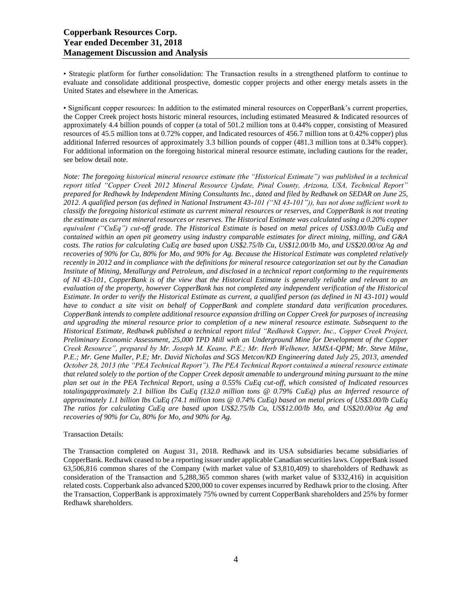• Strategic platform for further consolidation: The Transaction results in a strengthened platform to continue to evaluate and consolidate additional prospective, domestic copper projects and other energy metals assets in the United States and elsewhere in the Americas.

• Significant copper resources: In addition to the estimated mineral resources on CopperBank's current properties, the Copper Creek project hosts historic mineral resources, including estimated Measured & Indicated resources of approximately 4.4 billion pounds of copper (a total of 501.2 million tons at 0.44% copper, consisting of Measured resources of 45.5 million tons at 0.72% copper, and Indicated resources of 456.7 million tons at 0.42% copper) plus additional Inferred resources of approximately 3.3 billion pounds of copper (481.3 million tons at 0.34% copper). For additional information on the foregoing historical mineral resource estimate, including cautions for the reader, see below detail note.

*Note: The foregoing historical mineral resource estimate (the "Historical Estimate") was published in a technical report titled "Copper Creek 2012 Mineral Resource Update, Pinal County, Arizona, USA, Technical Report" prepared for Redhawk by Independent Mining Consultants Inc., dated and filed by Redhawk on SEDAR on June 25, 2012. A qualified person (as defined in National Instrument 43-101 ("NI 43-101")), has not done sufficient work to classify the foregoing historical estimate as current mineral resources or reserves, and CopperBank is not treating the estimate as current mineral resources or reserves. The Historical Estimate was calculated using a 0.20% copper equivalent ("CuEq") cut-off grade. The Historical Estimate is based on metal prices of US\$3.00/lb CuEq and contained within an open pit geometry using industry comparable estimates for direct mining, milling, and G&A costs. The ratios for calculating CuEq are based upon US\$2.75/lb Cu, US\$12.00/lb Mo, and US\$20.00/oz Ag and recoveries of 90% for Cu, 80% for Mo, and 90% for Ag. Because the Historical Estimate was completed relatively recently in 2012 and in compliance with the definitions for mineral resource categorization set out by the Canadian Institute of Mining, Metallurgy and Petroleum, and disclosed in a technical report conforming to the requirements of NI 43-101, CopperBank is of the view that the Historical Estimate is generally reliable and relevant to an evaluation of the property, however CopperBank has not completed any independent verification of the Historical Estimate. In order to verify the Historical Estimate as current, a qualified person (as defined in NI 43-101) would have to conduct a site visit on behalf of CopperBank and complete standard data verification procedures. CopperBank intends to complete additional resource expansion drilling on Copper Creek for purposes of increasing and upgrading the mineral resource prior to completion of a new mineral resource estimate. Subsequent to the Historical Estimate, Redhawk published a technical report titled "Redhawk Copper, Inc., Copper Creek Project, Preliminary Economic Assessment, 25,000 TPD Mill with an Underground Mine for Development of the Copper Creek Resource", prepared by Mr. Joseph M. Keane, P.E.; Mr. Herb Welhener, MMSA-QPM; Mr. Steve Milne, P.E.; Mr. Gene Muller, P.E; Mr. David Nicholas and SGS Metcon/KD Engineering dated July 25, 2013, amended October 28, 2013 (the "PEA Technical Report"). The PEA Technical Report contained a mineral resource estimate that related solely to the portion of the Copper Creek deposit amenable to underground mining pursuant to the mine plan set out in the PEA Technical Report, using a 0.55% CuEq cut-off, which consisted of Indicated resources totalingapproximately 2.1 billion lbs CuEq (132.0 million tons @ 0.79% CuEq) plus an Inferred resource of approximately 1.1 billion lbs CuEq (74.1 million tons @ 0.74% CuEq) based on metal prices of US\$3.00/lb CuEq The ratios for calculating CuEq are based upon US\$2.75/lb Cu, US\$12.00/lb Mo, and US\$20.00/oz Ag and recoveries of 90% for Cu, 80% for Mo, and 90% for Ag.*

#### Transaction Details:

The Transaction completed on August 31, 2018. Redhawk and its USA subsidiaries became subsidiaries of CopperBank. Redhawk ceased to be a reporting issuer under applicable Canadian securities laws. CopperBank issued 63,506,816 common shares of the Company (with market value of \$3,810,409) to shareholders of Redhawk as consideration of the Transaction and 5,288,365 common shares (with market value of \$332,416) in acquisition related costs. Copperbank also advanced \$200,000 to cover expenses incurred by Redhawk prior to the closing. After the Transaction, CopperBank is approximately 75% owned by current CopperBank shareholders and 25% by former Redhawk shareholders.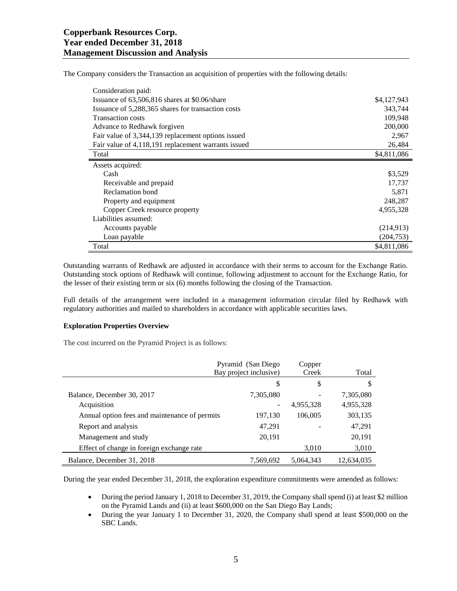The Company considers the Transaction an acquisition of properties with the following details:

| Consideration paid:                                 |             |
|-----------------------------------------------------|-------------|
| Issuance of 63,506,816 shares at \$0.06/share       | \$4,127,943 |
| Issuance of 5,288,365 shares for transaction costs  | 343,744     |
| <b>Transaction costs</b>                            | 109,948     |
| Advance to Redhawk forgiven                         | 200,000     |
| Fair value of 3,344,139 replacement options issued  | 2,967       |
| Fair value of 4,118,191 replacement warrants issued | 26,484      |
| Total                                               | \$4,811,086 |
| Assets acquired:                                    |             |
| Cash                                                | \$3,529     |
| Receivable and prepaid                              | 17,737      |
| Reclamation bond                                    | 5,871       |
| Property and equipment                              | 248,287     |
| Copper Creek resource property                      | 4,955,328   |
| Liabilities assumed:                                |             |
| Accounts payable                                    | (214, 913)  |
| Loan payable                                        | (204, 753)  |
| Total                                               | \$4,811,086 |

Outstanding warrants of Redhawk are adjusted in accordance with their terms to account for the Exchange Ratio. Outstanding stock options of Redhawk will continue, following adjustment to account for the Exchange Ratio, for the lesser of their existing term or six (6) months following the closing of the Transaction.

Full details of the arrangement were included in a management information circular filed by Redhawk with regulatory authorities and mailed to shareholders in accordance with applicable securities laws.

#### **Exploration Properties Overview**

The cost incurred on the Pyramid Project is as follows:

|                                               | Pyramid (San Diego<br>Bay project inclusive) | Copper<br>Creek | Total      |
|-----------------------------------------------|----------------------------------------------|-----------------|------------|
|                                               | \$                                           | \$              | S          |
| Balance, December 30, 2017                    | 7,305,080                                    |                 | 7,305,080  |
| Acquisition                                   |                                              | 4,955,328       | 4,955,328  |
| Annual option fees and maintenance of permits | 197,130                                      | 106,005         | 303,135    |
| Report and analysis                           | 47,291                                       |                 | 47,291     |
| Management and study                          | 20,191                                       |                 | 20,191     |
| Effect of change in foreign exchange rate     |                                              | 3,010           | 3,010      |
| Balance, December 31, 2018                    | 7,569,692                                    | 5,064,343       | 12,634,035 |

During the year ended December 31, 2018, the exploration expenditure commitments were amended as follows:

- During the period January 1, 2018 to December 31, 2019, the Company shall spend (i) at least \$2 million on the Pyramid Lands and (ii) at least \$600,000 on the San Diego Bay Lands;
- During the year January 1 to December 31, 2020, the Company shall spend at least \$500,000 on the SBC Lands.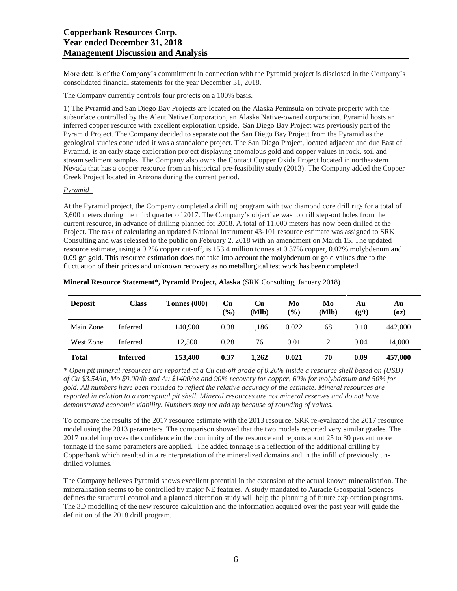More details of the Company's commitment in connection with the Pyramid project is disclosed in the Company's consolidated financial statements for the year December 31, 2018.

The Company currently controls four projects on a 100% basis.

1) The Pyramid and San Diego Bay Projects are located on the Alaska Peninsula on private property with the subsurface controlled by the Aleut Native Corporation, an Alaska Native-owned corporation. Pyramid hosts an inferred copper resource with excellent exploration upside. San Diego Bay Project was previously part of the Pyramid Project. The Company decided to separate out the San Diego Bay Project from the Pyramid as the geological studies concluded it was a standalone project. The San Diego Project, located adjacent and due East of Pyramid, is an early stage exploration project displaying anomalous gold and copper values in rock, soil and stream sediment samples. The Company also owns the Contact Copper Oxide Project located in northeastern Nevada that has a copper resource from an historical pre-feasibility study (2013). The Company added the Copper Creek Project located in Arizona during the current period.

#### *Pyramid*

At the Pyramid project, the Company completed a drilling program with two diamond core drill rigs for a total of 3,600 meters during the third quarter of 2017. The Company's objective was to drill step-out holes from the current resource, in advance of drilling planned for 2018. A total of 11,000 meters has now been drilled at the Project. The task of calculating an updated National Instrument 43-101 resource estimate was assigned to SRK Consulting and was released to the public on February 2, 2018 with an amendment on March 15. The updated resource estimate, using a 0.2% copper cut-off, is 153.4 million tonnes at 0.37% copper, 0.02% molybdenum and 0.09 g/t gold. This resource estimation does not take into account the molybdenum or gold values due to the fluctuation of their prices and unknown recovery as no metallurgical test work has been completed.

| <b>Deposit</b> | <b>Class</b>    | Tonnes (000) | Cu<br>$(\%)$ | Cu<br>(Mlb) | Mo<br>(%) | Mo<br>(Mlb) | Αu<br>(g/t) | Au<br>(oz) |
|----------------|-----------------|--------------|--------------|-------------|-----------|-------------|-------------|------------|
| Main Zone      | Inferred        | 140,900      | 0.38         | 1,186       | 0.022     | 68          | 0.10        | 442,000    |
| West Zone      | Inferred        | 12.500       | 0.28         | 76          | 0.01      | 2           | 0.04        | 14.000     |
| <b>Total</b>   | <b>Inferred</b> | 153,400      | 0.37         | 1,262       | 0.021     | 70          | 0.09        | 457,000    |

#### **Mineral Resource Statement\*, Pyramid Project, Alaska** (SRK Consulting, January 2018)

\* Open pit mineral resources are reported at a Cu cut-off grade of 0.20% inside a resource shell based on (USD) of Cu \$3.54/lb, Mo \$9.00/lb and Au \$1400/oz and 90% recovery for copper, 60% for molybdenum and 50% for gold. All numbers have been rounded to reflect the relative accuracy of the estimate. Mineral resources are reported in relation to a conceptual pit shell. Mineral resources are not mineral reserves and do not have *demonstrated economic viability. Numbers may not add up because of rounding of values.*

To compare the results of the 2017 resource estimate with the 2013 resource, SRK re-evaluated the 2017 resource model using the 2013 parameters. The comparison showed that the two models reported very similar grades. The 2017 model improves the confidence in the continuity of the resource and reports about 25 to 30 percent more tonnage if the same parameters are applied. The added tonnage is a reflection of the additional drilling by Copperbank which resulted in a reinterpretation of the mineralized domains and in the infill of previously undrilled volumes.

The Company believes Pyramid shows excellent potential in the extension of the actual known mineralisation. The mineralisation seems to be controlled by major NE features. A study mandated to Auracle Geospatial Sciences defines the structural control and a planned alteration study will help the planning of future exploration programs. The 3D modelling of the new resource calculation and the information acquired over the past year will guide the definition of the 2018 drill program.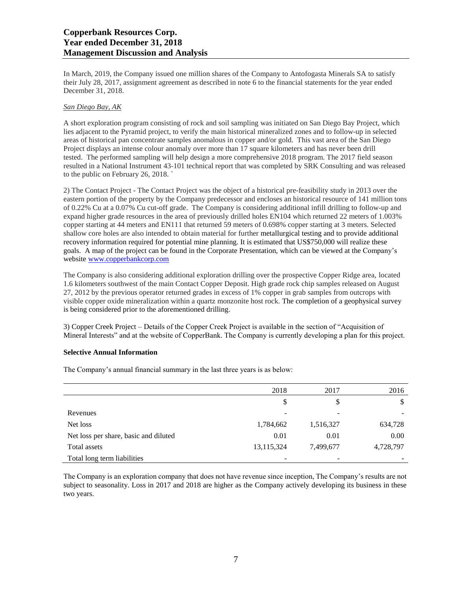# **Copperbank Resources Corp. Year ended December 31, 2018 Management Discussion and Analysis**

In March, 2019, the Company issued one million shares of the Company to Antofogasta Minerals SA to satisfy their July 28, 2017, assignment agreement as described in note 6 to the financial statements for the year ended December 31, 2018.

# *San Diego Bay, AK*

A short exploration program consisting of rock and soil sampling was initiated on San Diego Bay Project, which lies adjacent to the Pyramid project, to verify the main historical mineralized zones and to follow-up in selected areas of historical pan concentrate samples anomalous in copper and/or gold. This vast area of the San Diego Project displays an intense colour anomaly over more than 17 square kilometers and has never been drill tested. The performed sampling will help design a more comprehensive 2018 program. The 2017 field season resulted in a National Instrument 43-101 technical report that was completed by SRK Consulting and was released to the public on February 26, 2018. `

2) The Contact Project - The Contact Project was the object of a historical pre-feasibility study in 2013 over the eastern portion of the property by the Company predecessor and encloses an historical resource of 141 million tons of 0.22% Cu at a 0.07% Cu cut-off grade. The Company is considering additional infill drilling to follow-up and expand higher grade resources in the area of previously drilled holes EN104 which returned 22 meters of 1.003% copper starting at 44 meters and EN111 that returned 59 meters of 0.698% copper starting at 3 meters. Selected shallow core holes are also intended to obtain material for further metallurgical testing and to provide additional recovery information required for potential mine planning. It is estimated that US\$750,000 will realize these goals. A map of the project can be found in the Corporate Presentation, which can be viewed at the Company's website [www.copperbankcorp.com](http://www.copperbankcorp.com/)

The Company is also considering additional exploration drilling over the prospective Copper Ridge area, located 1.6 kilometers southwest of the main Contact Copper Deposit. High grade rock chip samples released on August 27, 2012 by the previous operator returned grades in excess of 1% copper in grab samples from outcrops with visible copper oxide mineralization within a quartz monzonite host rock. The completion of a geophysical survey is being considered prior to the aforementioned drilling.

3) Copper Creek Project – Details of the Copper Creek Project is available in the section of "Acquisition of Mineral Interests" and at the website of CopperBank. The Company is currently developing a plan for this project.

# **Selective Annual Information**

The Company's annual financial summary in the last three years is as below:

|                                       | 2018         | 2017      | 2016      |
|---------------------------------------|--------------|-----------|-----------|
|                                       | \$           | \$        | S         |
| Revenues                              | ۰            | -         |           |
| Net loss                              | 1,784,662    | 1,516,327 | 634,728   |
| Net loss per share, basic and diluted | 0.01         | 0.01      | 0.00      |
| Total assets                          | 13, 115, 324 | 7,499,677 | 4,728,797 |
| Total long term liabilities           |              |           |           |

The Company is an exploration company that does not have revenue since inception, The Company's results are not subject to seasonality. Loss in 2017 and 2018 are higher as the Company actively developing its business in these two years.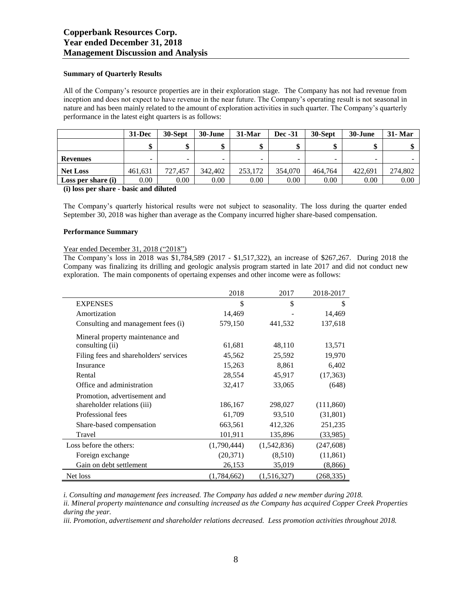#### **Summary of Quarterly Results**

All of the Company's resource properties are in their exploration stage. The Company has not had revenue from inception and does not expect to have revenue in the near future. The Company's operating result is not seasonal in nature and has been mainly related to the amount of exploration activities in such quarter. The Company's quarterly performance in the latest eight quarters is as follows:

|                    | $31 - Dec$ | 30-Sept  | 30-June | 31-Mar  | <b>Dec</b> -31 | 30-Sept | 30-June                  | <b>31- Mar</b> |
|--------------------|------------|----------|---------|---------|----------------|---------|--------------------------|----------------|
|                    |            | ◡        |         |         |                |         |                          |                |
| <b>Revenues</b>    | -          | -        | -       | -       | -              |         | $\overline{\phantom{a}}$ |                |
| <b>Net Loss</b>    | 461.631    | 727.457  | 342,402 | 253.172 | 354,070        | 464,764 | 422.691                  | 274,802        |
| Loss per share (i) | 0.00       | $0.00\,$ | 0.00    | 0.00    | 0.00           | 0.00    | 0.00                     | 0.00           |

#### **(i) loss per share - basic and diluted**

The Company's quarterly historical results were not subject to seasonality. The loss during the quarter ended September 30, 2018 was higher than average as the Company incurred higher share-based compensation.

#### **Performance Summary**

# Year ended December 31, 2018 ("2018")

The Company's loss in 2018 was \$1,784,589 (2017 - \$1,517,322), an increase of \$267,267. During 2018 the Company was finalizing its drilling and geologic analysis program started in late 2017 and did not conduct new exploration. The main components of opertaing expenses and other income were as follows:

|                                        | 2018        | 2017        | 2018-2017  |
|----------------------------------------|-------------|-------------|------------|
| <b>EXPENSES</b>                        | \$          | \$          | \$         |
| Amortization                           | 14,469      |             | 14,469     |
| Consulting and management fees (i)     | 579,150     | 441,532     | 137,618    |
| Mineral property maintenance and       |             |             |            |
| consulting (ii)                        | 61,681      | 48,110      | 13,571     |
| Filing fees and shareholders' services | 45,562      | 25,592      | 19,970     |
| Insurance                              | 15,263      | 8,861       | 6,402      |
| Rental                                 | 28,554      | 45,917      | (17,363)   |
| Office and administration              | 32,417      | 33,065      | (648)      |
| Promotion, advertisement and           |             |             |            |
| shareholder relations (iii)            | 186,167     | 298,027     | (111, 860) |
| Professional fees                      | 61,709      | 93,510      | (31, 801)  |
| Share-based compensation               | 663,561     | 412,326     | 251,235    |
| Travel                                 | 101,911     | 135,896     | (33,985)   |
| Loss before the others:                | (1,790,444) | (1,542,836) | (247, 608) |
| Foreign exchange                       | (20,371)    | (8,510)     | (11, 861)  |
| Gain on debt settlement                | 26,153      | 35,019      | (8, 866)   |
| Net loss                               | (1,784,662) | (1,516,327) | (268, 335) |

*i. Consulting and management fees increased. The Company has added a new member during 2018.* 

*ii. Mineral property maintenance and consulting increased as the Company has acquired Copper Creek Properties during the year.*

*iii. Promotion, advertisement and shareholder relations decreased. Less promotion activities throughout 2018.*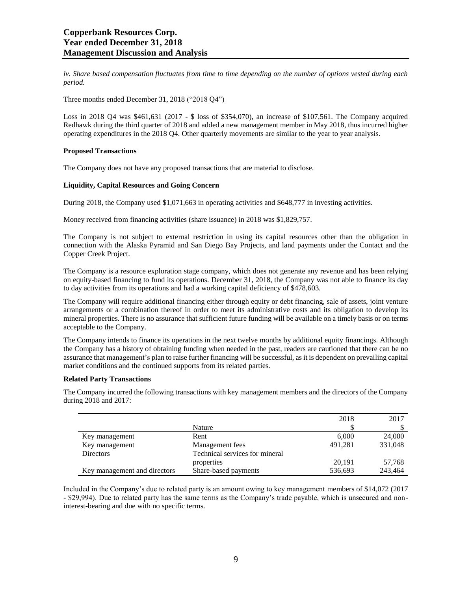*iv. Share based compensation fluctuates from time to time depending on the number of options vested during each period.* 

#### Three months ended December 31, 2018 ("2018 Q4")

Loss in 2018 Q4 was \$461,631 (2017 - \$ loss of \$354,070), an increase of \$107,561. The Company acquired Redhawk during the third quarter of 2018 and added a new management member in May 2018, thus incurred higher operating expenditures in the 2018 Q4. Other quarterly movements are similar to the year to year analysis.

#### **Proposed Transactions**

The Company does not have any proposed transactions that are material to disclose.

# **Liquidity, Capital Resources and Going Concern**

During 2018, the Company used \$1,071,663 in operating activities and \$648,777 in investing activities.

Money received from financing activities (share issuance) in 2018 was \$1,829,757.

The Company is not subject to external restriction in using its capital resources other than the obligation in connection with the Alaska Pyramid and San Diego Bay Projects, and land payments under the Contact and the Copper Creek Project.

The Company is a resource exploration stage company, which does not generate any revenue and has been relying on equity-based financing to fund its operations. December 31, 2018, the Company was not able to finance its day to day activities from its operations and had a working capital deficiency of \$478,603.

The Company will require additional financing either through equity or debt financing, sale of assets, joint venture arrangements or a combination thereof in order to meet its administrative costs and its obligation to develop its mineral properties. There is no assurance that sufficient future funding will be available on a timely basis or on terms acceptable to the Company.

The Company intends to finance its operations in the next twelve months by additional equity financings. Although the Company has a history of obtaining funding when needed in the past, readers are cautioned that there can be no assurance that management's plan to raise further financing will be successful, as it is dependent on prevailing capital market conditions and the continued supports from its related parties.

# **Related Party Transactions**

The Company incurred the following transactions with key management members and the directors of the Company during 2018 and 2017:

|                              |                                | 2018    | 2017    |
|------------------------------|--------------------------------|---------|---------|
|                              | Nature                         |         |         |
| Key management               | Rent                           | 6.000   | 24,000  |
| Key management               | Management fees                | 491,281 | 331,048 |
| <b>Directors</b>             | Technical services for mineral |         |         |
|                              | properties                     | 20,191  | 57,768  |
| Key management and directors | Share-based payments           | 536,693 | 243,464 |

Included in the Company's due to related party is an amount owing to key management members of \$14,072 (2017 - \$29,994). Due to related party has the same terms as the Company's trade payable, which is unsecured and noninterest-bearing and due with no specific terms.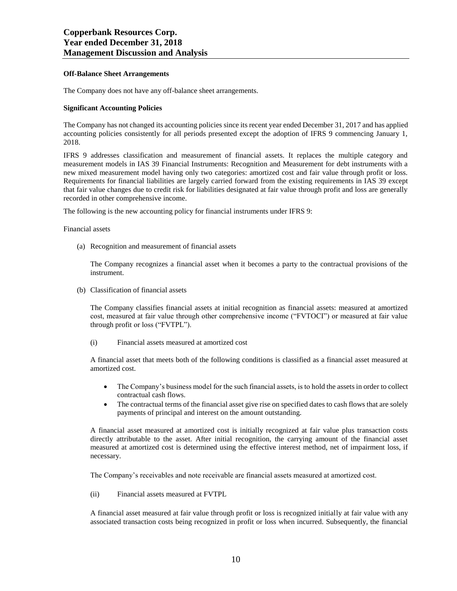#### **Off-Balance Sheet Arrangements**

The Company does not have any off-balance sheet arrangements.

#### **Significant Accounting Policies**

The Company has not changed its accounting policies since its recent year ended December 31, 2017 and has applied accounting policies consistently for all periods presented except the adoption of IFRS 9 commencing January 1, 2018.

IFRS 9 addresses classification and measurement of financial assets. It replaces the multiple category and measurement models in IAS 39 Financial Instruments: Recognition and Measurement for debt instruments with a new mixed measurement model having only two categories: amortized cost and fair value through profit or loss. Requirements for financial liabilities are largely carried forward from the existing requirements in IAS 39 except that fair value changes due to credit risk for liabilities designated at fair value through profit and loss are generally recorded in other comprehensive income.

The following is the new accounting policy for financial instruments under IFRS 9:

#### Financial assets

(a) Recognition and measurement of financial assets

The Company recognizes a financial asset when it becomes a party to the contractual provisions of the instrument.

(b) Classification of financial assets

The Company classifies financial assets at initial recognition as financial assets: measured at amortized cost, measured at fair value through other comprehensive income ("FVTOCI") or measured at fair value through profit or loss ("FVTPL").

(i) Financial assets measured at amortized cost

A financial asset that meets both of the following conditions is classified as a financial asset measured at amortized cost.

- The Company's business model for the such financial assets, is to hold the assets in order to collect contractual cash flows.
- The contractual terms of the financial asset give rise on specified dates to cash flows that are solely payments of principal and interest on the amount outstanding.

A financial asset measured at amortized cost is initially recognized at fair value plus transaction costs directly attributable to the asset. After initial recognition, the carrying amount of the financial asset measured at amortized cost is determined using the effective interest method, net of impairment loss, if necessary.

The Company's receivables and note receivable are financial assets measured at amortized cost.

(ii) Financial assets measured at FVTPL

A financial asset measured at fair value through profit or loss is recognized initially at fair value with any associated transaction costs being recognized in profit or loss when incurred. Subsequently, the financial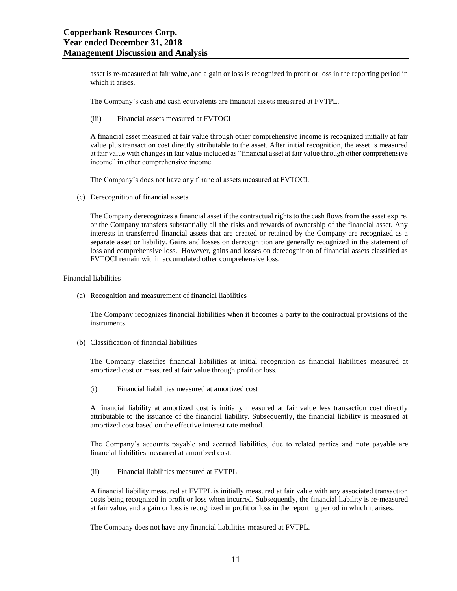asset is re-measured at fair value, and a gain or loss is recognized in profit or loss in the reporting period in which it arises.

The Company's cash and cash equivalents are financial assets measured at FVTPL.

(iii) Financial assets measured at FVTOCI

A financial asset measured at fair value through other comprehensive income is recognized initially at fair value plus transaction cost directly attributable to the asset. After initial recognition, the asset is measured at fair value with changes in fair value included as "financial asset at fair value through other comprehensive income" in other comprehensive income.

The Company's does not have any financial assets measured at FVTOCI.

(c) Derecognition of financial assets

The Company derecognizes a financial asset if the contractual rights to the cash flows from the asset expire, or the Company transfers substantially all the risks and rewards of ownership of the financial asset. Any interests in transferred financial assets that are created or retained by the Company are recognized as a separate asset or liability. Gains and losses on derecognition are generally recognized in the statement of loss and comprehensive loss. However, gains and losses on derecognition of financial assets classified as FVTOCI remain within accumulated other comprehensive loss.

Financial liabilities

(a) Recognition and measurement of financial liabilities

The Company recognizes financial liabilities when it becomes a party to the contractual provisions of the instruments.

(b) Classification of financial liabilities

The Company classifies financial liabilities at initial recognition as financial liabilities measured at amortized cost or measured at fair value through profit or loss.

(i) Financial liabilities measured at amortized cost

A financial liability at amortized cost is initially measured at fair value less transaction cost directly attributable to the issuance of the financial liability. Subsequently, the financial liability is measured at amortized cost based on the effective interest rate method.

The Company's accounts payable and accrued liabilities, due to related parties and note payable are financial liabilities measured at amortized cost.

(ii) Financial liabilities measured at FVTPL

A financial liability measured at FVTPL is initially measured at fair value with any associated transaction costs being recognized in profit or loss when incurred. Subsequently, the financial liability is re-measured at fair value, and a gain or loss is recognized in profit or loss in the reporting period in which it arises.

The Company does not have any financial liabilities measured at FVTPL.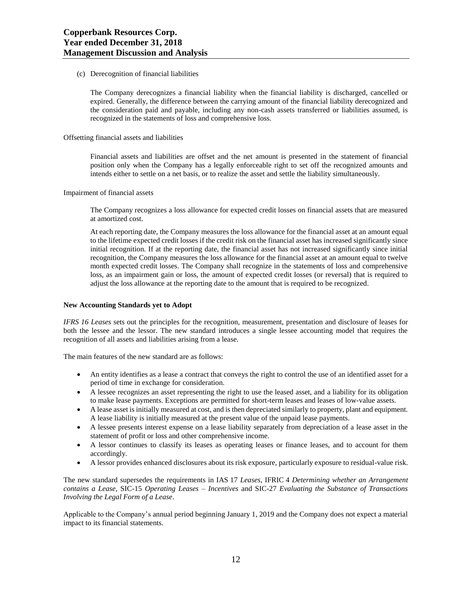#### (c) Derecognition of financial liabilities

The Company derecognizes a financial liability when the financial liability is discharged, cancelled or expired. Generally, the difference between the carrying amount of the financial liability derecognized and the consideration paid and payable, including any non-cash assets transferred or liabilities assumed, is recognized in the statements of loss and comprehensive loss.

#### Offsetting financial assets and liabilities

Financial assets and liabilities are offset and the net amount is presented in the statement of financial position only when the Company has a legally enforceable right to set off the recognized amounts and intends either to settle on a net basis, or to realize the asset and settle the liability simultaneously.

#### Impairment of financial assets

The Company recognizes a loss allowance for expected credit losses on financial assets that are measured at amortized cost.

At each reporting date, the Company measures the loss allowance for the financial asset at an amount equal to the lifetime expected credit losses if the credit risk on the financial asset has increased significantly since initial recognition. If at the reporting date, the financial asset has not increased significantly since initial recognition, the Company measures the loss allowance for the financial asset at an amount equal to twelve month expected credit losses. The Company shall recognize in the statements of loss and comprehensive loss, as an impairment gain or loss, the amount of expected credit losses (or reversal) that is required to adjust the loss allowance at the reporting date to the amount that is required to be recognized.

#### **New Accounting Standards yet to Adopt**

*IFRS 16 Leases* sets out the principles for the recognition, measurement, presentation and disclosure of leases for both the lessee and the lessor. The new standard introduces a single lessee accounting model that requires the recognition of all assets and liabilities arising from a lease.

The main features of the new standard are as follows:

- An entity identifies as a lease a contract that conveys the right to control the use of an identified asset for a period of time in exchange for consideration.
- A lessee recognizes an asset representing the right to use the leased asset, and a liability for its obligation to make lease payments. Exceptions are permitted for short-term leases and leases of low-value assets.
- A lease asset is initially measured at cost, and is then depreciated similarly to property, plant and equipment. A lease liability is initially measured at the present value of the unpaid lease payments.
- A lessee presents interest expense on a lease liability separately from depreciation of a lease asset in the statement of profit or loss and other comprehensive income.
- A lessor continues to classify its leases as operating leases or finance leases, and to account for them accordingly.
- A lessor provides enhanced disclosures about its risk exposure, particularly exposure to residual-value risk.

The new standard supersedes the requirements in IAS 17 *Leases*, IFRIC 4 *Determining whether an Arrangement contains a Lease*, SIC-15 *Operating Leases – Incentives* and SIC-27 *Evaluating the Substance of Transactions Involving the Legal Form of a Lease*.

Applicable to the Company's annual period beginning January 1, 2019 and the Company does not expect a material impact to its financial statements.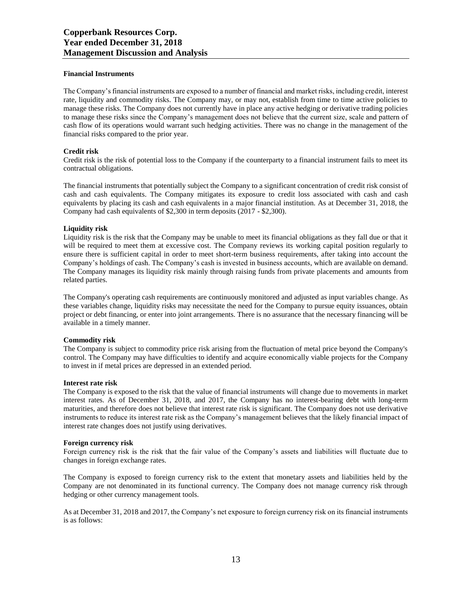#### **Financial Instruments**

The Company's financial instruments are exposed to a number of financial and market risks, including credit, interest rate, liquidity and commodity risks. The Company may, or may not, establish from time to time active policies to manage these risks. The Company does not currently have in place any active hedging or derivative trading policies to manage these risks since the Company's management does not believe that the current size, scale and pattern of cash flow of its operations would warrant such hedging activities. There was no change in the management of the financial risks compared to the prior year.

#### **Credit risk**

Credit risk is the risk of potential loss to the Company if the counterparty to a financial instrument fails to meet its contractual obligations.

The financial instruments that potentially subject the Company to a significant concentration of credit risk consist of cash and cash equivalents. The Company mitigates its exposure to credit loss associated with cash and cash equivalents by placing its cash and cash equivalents in a major financial institution. As at December 31, 2018, the Company had cash equivalents of \$2,300 in term deposits (2017 - \$2,300).

#### **Liquidity risk**

Liquidity risk is the risk that the Company may be unable to meet its financial obligations as they fall due or that it will be required to meet them at excessive cost. The Company reviews its working capital position regularly to ensure there is sufficient capital in order to meet short-term business requirements, after taking into account the Company's holdings of cash. The Company's cash is invested in business accounts, which are available on demand. The Company manages its liquidity risk mainly through raising funds from private placements and amounts from related parties.

The Company's operating cash requirements are continuously monitored and adjusted as input variables change. As these variables change, liquidity risks may necessitate the need for the Company to pursue equity issuances, obtain project or debt financing, or enter into joint arrangements. There is no assurance that the necessary financing will be available in a timely manner.

#### **Commodity risk**

The Company is subject to commodity price risk arising from the fluctuation of metal price beyond the Company's control. The Company may have difficulties to identify and acquire economically viable projects for the Company to invest in if metal prices are depressed in an extended period.

#### **Interest rate risk**

The Company is exposed to the risk that the value of financial instruments will change due to movements in market interest rates. As of December 31, 2018, and 2017, the Company has no interest-bearing debt with long-term maturities, and therefore does not believe that interest rate risk is significant. The Company does not use derivative instruments to reduce its interest rate risk as the Company's management believes that the likely financial impact of interest rate changes does not justify using derivatives.

#### **Foreign currency risk**

Foreign currency risk is the risk that the fair value of the Company's assets and liabilities will fluctuate due to changes in foreign exchange rates.

The Company is exposed to foreign currency risk to the extent that monetary assets and liabilities held by the Company are not denominated in its functional currency. The Company does not manage currency risk through hedging or other currency management tools.

As at December 31, 2018 and 2017, the Company's net exposure to foreign currency risk on its financial instruments is as follows: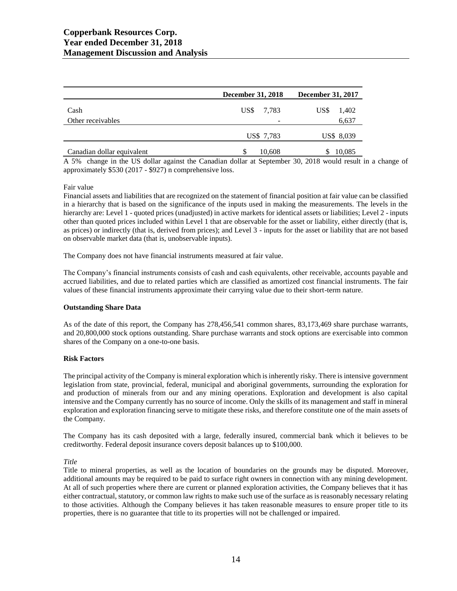|                            | <b>December 31, 2018</b> | December 31, 2017 |
|----------------------------|--------------------------|-------------------|
| Cash                       | US\$ 7,783               | US\$<br>1,402     |
| Other receivables          | -                        | 6,637             |
|                            | US\$ 7,783               | US\$ 8,039        |
| Canadian dollar equivalent | 10,608                   | 10,085            |

A 5% change in the US dollar against the Canadian dollar at September 30, 2018 would result in a change of approximately \$530 (2017 - \$927) n comprehensive loss.

#### Fair value

Financial assets and liabilities that are recognized on the statement of financial position at fair value can be classified in a hierarchy that is based on the significance of the inputs used in making the measurements. The levels in the hierarchy are: Level 1 - quoted prices (unadjusted) in active markets for identical assets or liabilities; Level 2 - inputs other than quoted prices included within Level 1 that are observable for the asset or liability, either directly (that is, as prices) or indirectly (that is, derived from prices); and Level 3 - inputs for the asset or liability that are not based on observable market data (that is, unobservable inputs).

The Company does not have financial instruments measured at fair value.

The Company's financial instruments consists of cash and cash equivalents, other receivable, accounts payable and accrued liabilities, and due to related parties which are classified as amortized cost financial instruments. The fair values of these financial instruments approximate their carrying value due to their short-term nature.

#### **Outstanding Share Data**

As of the date of this report, the Company has 278,456,541 common shares, 83,173,469 share purchase warrants, and 20,800,000 stock options outstanding. Share purchase warrants and stock options are exercisable into common shares of the Company on a one-to-one basis.

#### **Risk Factors**

The principal activity of the Company is mineral exploration which is inherently risky. There is intensive government legislation from state, provincial, federal, municipal and aboriginal governments, surrounding the exploration for and production of minerals from our and any mining operations. Exploration and development is also capital intensive and the Company currently has no source of income. Only the skills of its management and staff in mineral exploration and exploration financing serve to mitigate these risks, and therefore constitute one of the main assets of the Company.

The Company has its cash deposited with a large, federally insured, commercial bank which it believes to be creditworthy. Federal deposit insurance covers deposit balances up to \$100,000.

*Title*

Title to mineral properties, as well as the location of boundaries on the grounds may be disputed. Moreover, additional amounts may be required to be paid to surface right owners in connection with any mining development. At all of such properties where there are current or planned exploration activities, the Company believes that it has either contractual, statutory, or common law rights to make such use of the surface as is reasonably necessary relating to those activities. Although the Company believes it has taken reasonable measures to ensure proper title to its properties, there is no guarantee that title to its properties will not be challenged or impaired.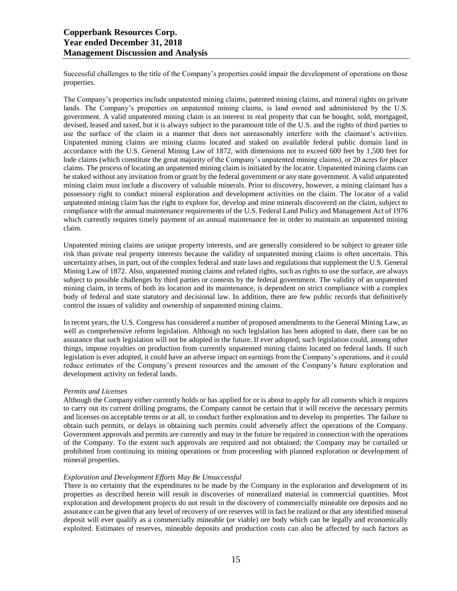Successful challenges to the title of the Company's properties could impair the development of operations on those properties.

The Company's properties include unpatented mining claims, patented mining claims, and mineral rights on private lands. The Company's properties on unpatented mining claims, is land owned and administered by the U.S. government. A valid unpatented mining claim is an interest in real property that can be bought, sold, mortgaged, devised, leased and taxed, but it is always subject to the paramount title of the U.S. and the rights of third parties to use the surface of the claim in a manner that does not unreasonably interfere with the claimant's activities. Unpatented mining claims are mining claims located and staked on available federal public domain land in accordance with the U.S. General Mining Law of 1872, with dimensions not to exceed 600 feet by 1,500 feet for lode claims (which constitute the great majority of the Company's unpatented mining claims), or 20 acres for placer claims. The process of locating an unpatented mining claim is initiated by the locator. Unpatented mining claims can be staked without any invitation from or grant by the federal government or any state government. A valid unpatented mining claim must include a discovery of valuable minerals. Prior to discovery, however, a mining claimant has a possessory right to conduct mineral exploration and development activities on the claim. The locator of a valid unpatented mining claim has the right to explore for, develop and mine minerals discovered on the claim, subject to compliance with the annual maintenance requirements of the U.S. Federal Land Policy and Management Act of 1976 which currently requires timely payment of an annual maintenance fee in order to maintain an unpatented mining claim.

Unpatented mining claims are unique property interests, and are generally considered to be subject to greater title risk than private real property interests because the validity of unpatented mining claims is often uncertain. This uncertainty arises, in part, out of the complex federal and state laws and regulations that supplement the U.S. General Mining Law of 1872. Also, unpatented mining claims and related rights, such as rights to use the surface, are always subject to possible challenges by third parties or contests by the federal government. The validity of an unpatented mining claim, in terms of both its location and its maintenance, is dependent on strict compliance with a complex body of federal and state statutory and decisional law. In addition, there are few public records that definitively control the issues of validity and ownership of unpatented mining claims.

In recent years, the U.S. Congress has considered a number of proposed amendments to the General Mining Law, as well as comprehensive reform legislation. Although no such legislation has been adopted to date, there can be no assurance that such legislation will not be adopted in the future. If ever adopted, such legislation could, among other things, impose royalties on production from currently unpatented mining claims located on federal lands. If such legislation is ever adopted, it could have an adverse impact on earnings from the Company's operations, and it could reduce estimates of the Company's present resources and the amount of the Company's future exploration and development activity on federal lands.

# *Permits and Licenses*

Although the Company either currently holds or has applied for or is about to apply for all consents which it requires to carry out its current drilling programs, the Company cannot be certain that it will receive the necessary permits and licenses on acceptable terms or at all, to conduct further exploration and to develop its properties. The failure to obtain such permits, or delays in obtaining such permits could adversely affect the operations of the Company. Government approvals and permits are currently and may in the future be required in connection with the operations of the Company. To the extent such approvals are required and not obtained; the Company may be curtailed or prohibited from continuing its mining operations or from proceeding with planned exploration or development of mineral properties.

#### *Exploration and Development Efforts May Be Unsuccessful*

There is no certainty that the expenditures to be made by the Company in the exploration and development of its properties as described herein will result in discoveries of mineralized material in commercial quantities. Most exploration and development projects do not result in the discovery of commercially mineable ore deposits and no assurance can be given that any level of recovery of ore reserves will in fact be realized or that any identified mineral deposit will ever qualify as a commercially mineable (or viable) ore body which can be legally and economically exploited. Estimates of reserves, mineable deposits and production costs can also be affected by such factors as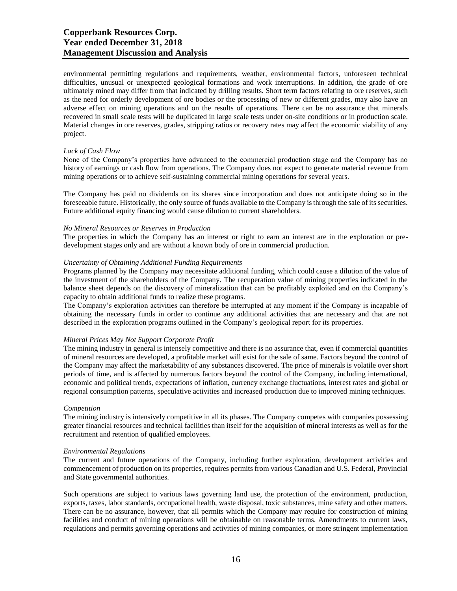# **Copperbank Resources Corp. Year ended December 31, 2018 Management Discussion and Analysis**

environmental permitting regulations and requirements, weather, environmental factors, unforeseen technical difficulties, unusual or unexpected geological formations and work interruptions. In addition, the grade of ore ultimately mined may differ from that indicated by drilling results. Short term factors relating to ore reserves, such as the need for orderly development of ore bodies or the processing of new or different grades, may also have an adverse effect on mining operations and on the results of operations. There can be no assurance that minerals recovered in small scale tests will be duplicated in large scale tests under on-site conditions or in production scale. Material changes in ore reserves, grades, stripping ratios or recovery rates may affect the economic viability of any project.

#### *Lack of Cash Flow*

None of the Company's properties have advanced to the commercial production stage and the Company has no history of earnings or cash flow from operations. The Company does not expect to generate material revenue from mining operations or to achieve self-sustaining commercial mining operations for several years.

The Company has paid no dividends on its shares since incorporation and does not anticipate doing so in the foreseeable future. Historically, the only source of funds available to the Company is through the sale of its securities. Future additional equity financing would cause dilution to current shareholders.

#### *No Mineral Resources or Reserves in Production*

The properties in which the Company has an interest or right to earn an interest are in the exploration or predevelopment stages only and are without a known body of ore in commercial production.

# *Uncertainty of Obtaining Additional Funding Requirements*

Programs planned by the Company may necessitate additional funding, which could cause a dilution of the value of the investment of the shareholders of the Company. The recuperation value of mining properties indicated in the balance sheet depends on the discovery of mineralization that can be profitably exploited and on the Company's capacity to obtain additional funds to realize these programs.

The Company's exploration activities can therefore be interrupted at any moment if the Company is incapable of obtaining the necessary funds in order to continue any additional activities that are necessary and that are not described in the exploration programs outlined in the Company's geological report for its properties.

#### *Mineral Prices May Not Support Corporate Profit*

The mining industry in general is intensely competitive and there is no assurance that, even if commercial quantities of mineral resources are developed, a profitable market will exist for the sale of same. Factors beyond the control of the Company may affect the marketability of any substances discovered. The price of minerals is volatile over short periods of time, and is affected by numerous factors beyond the control of the Company, including international, economic and political trends, expectations of inflation, currency exchange fluctuations, interest rates and global or regional consumption patterns, speculative activities and increased production due to improved mining techniques.

#### *Competition*

The mining industry is intensively competitive in all its phases. The Company competes with companies possessing greater financial resources and technical facilities than itself for the acquisition of mineral interests as well as for the recruitment and retention of qualified employees.

#### *Environmental Regulations*

The current and future operations of the Company, including further exploration, development activities and commencement of production on its properties, requires permits from various Canadian and U.S. Federal, Provincial and State governmental authorities.

Such operations are subject to various laws governing land use, the protection of the environment, production, exports, taxes, labor standards, occupational health, waste disposal, toxic substances, mine safety and other matters. There can be no assurance, however, that all permits which the Company may require for construction of mining facilities and conduct of mining operations will be obtainable on reasonable terms. Amendments to current laws, regulations and permits governing operations and activities of mining companies, or more stringent implementation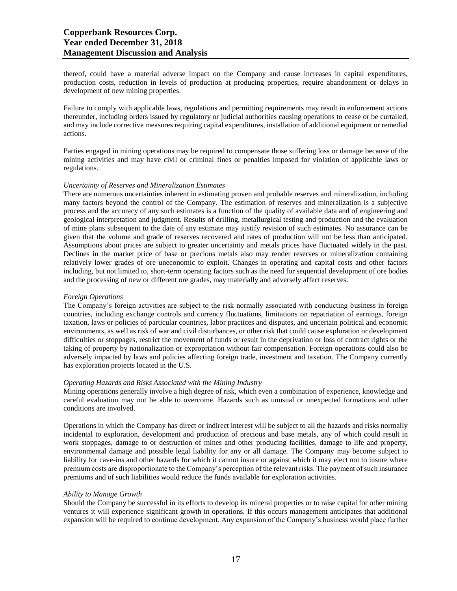thereof, could have a material adverse impact on the Company and cause increases in capital expenditures, production costs, reduction in levels of production at producing properties, require abandonment or delays in development of new mining properties.

Failure to comply with applicable laws, regulations and permitting requirements may result in enforcement actions thereunder, including orders issued by regulatory or judicial authorities causing operations to cease or be curtailed, and may include corrective measures requiring capital expenditures, installation of additional equipment or remedial actions.

Parties engaged in mining operations may be required to compensate those suffering loss or damage because of the mining activities and may have civil or criminal fines or penalties imposed for violation of applicable laws or regulations.

#### *Uncertainty of Reserves and Mineralization Estimates*

There are numerous uncertainties inherent in estimating proven and probable reserves and mineralization, including many factors beyond the control of the Company. The estimation of reserves and mineralization is a subjective process and the accuracy of any such estimates is a function of the quality of available data and of engineering and geological interpretation and judgment. Results of drilling, metallurgical testing and production and the evaluation of mine plans subsequent to the date of any estimate may justify revision of such estimates. No assurance can be given that the volume and grade of reserves recovered and rates of production will not be less than anticipated. Assumptions about prices are subject to greater uncertainty and metals prices have fluctuated widely in the past. Declines in the market price of base or precious metals also may render reserves or mineralization containing relatively lower grades of ore uneconomic to exploit. Changes in operating and capital costs and other factors including, but not limited to, short-term operating factors such as the need for sequential development of ore bodies and the processing of new or different ore grades, may materially and adversely affect reserves.

#### *Foreign Operations*

The Company's foreign activities are subject to the risk normally associated with conducting business in foreign countries, including exchange controls and currency fluctuations, limitations on repatriation of earnings, foreign taxation, laws or policies of particular countries, labor practices and disputes, and uncertain political and economic environments, as well as risk of war and civil disturbances, or other risk that could cause exploration or development difficulties or stoppages, restrict the movement of funds or result in the deprivation or loss of contract rights or the taking of property by nationalization or expropriation without fair compensation. Foreign operations could also be adversely impacted by laws and policies affecting foreign trade, investment and taxation. The Company currently has exploration projects located in the U.S.

# *Operating Hazards and Risks Associated with the Mining Industry*

Mining operations generally involve a high degree of risk, which even a combination of experience, knowledge and careful evaluation may not be able to overcome. Hazards such as unusual or unexpected formations and other conditions are involved.

Operations in which the Company has direct or indirect interest will be subject to all the hazards and risks normally incidental to exploration, development and production of precious and base metals, any of which could result in work stoppages, damage to or destruction of mines and other producing facilities, damage to life and property, environmental damage and possible legal liability for any or all damage. The Company may become subject to liability for cave-ins and other hazards for which it cannot insure or against which it may elect not to insure where premium costs are disproportionate to the Company's perception of the relevant risks. The payment of such insurance premiums and of such liabilities would reduce the funds available for exploration activities.

#### *Ability to Manage Growth*

Should the Company be successful in its efforts to develop its mineral properties or to raise capital for other mining ventures it will experience significant growth in operations. If this occurs management anticipates that additional expansion will be required to continue development. Any expansion of the Company's business would place further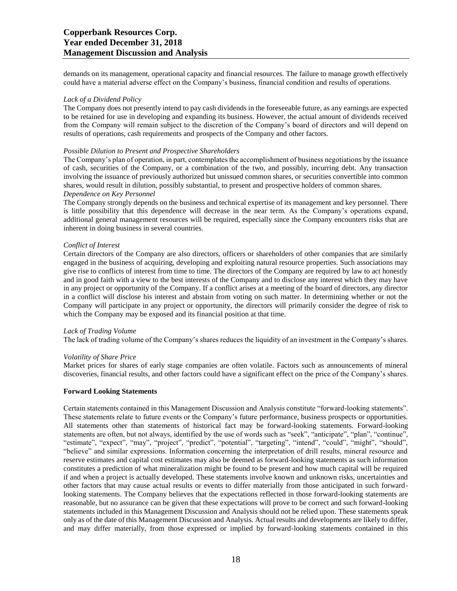demands on its management, operational capacity and financial resources. The failure to manage growth effectively could have a material adverse effect on the Company's business, financial condition and results of operations.

#### *Lack of a Dividend Policy*

The Company does not presently intend to pay cash dividends in the foreseeable future, as any earnings are expected to be retained for use in developing and expanding its business. However, the actual amount of dividends received from the Company will remain subject to the discretion of the Company's board of directors and will depend on results of operations, cash requirements and prospects of the Company and other factors.

#### *Possible Dilution to Present and Prospective Shareholders*

The Company's plan of operation, in part, contemplates the accomplishment of business negotiations by the issuance of cash, securities of the Company, or a combination of the two, and possibly, incurring debt. Any transaction involving the issuance of previously authorized but unissued common shares, or securities convertible into common shares, would result in dilution, possibly substantial, to present and prospective holders of common shares.

# *Dependence on Key Personnel*

The Company strongly depends on the business and technical expertise of its management and key personnel. There is little possibility that this dependence will decrease in the near term. As the Company's operations expand, additional general management resources will be required, especially since the Company encounters risks that are inherent in doing business in several countries.

#### *Conflict of Interest*

Certain directors of the Company are also directors, officers or shareholders of other companies that are similarly engaged in the business of acquiring, developing and exploiting natural resource properties. Such associations may give rise to conflicts of interest from time to time. The directors of the Company are required by law to act honestly and in good faith with a view to the best interests of the Company and to disclose any interest which they may have in any project or opportunity of the Company. If a conflict arises at a meeting of the board of directors, any director in a conflict will disclose his interest and abstain from voting on such matter. In determining whether or not the Company will participate in any project or opportunity, the directors will primarily consider the degree of risk to which the Company may be exposed and its financial position at that time.

# *Lack of Trading Volume*

The lack of trading volume of the Company's shares reduces the liquidity of an investment in the Company's shares.

# *Volatility of Share Price*

Market prices for shares of early stage companies are often volatile. Factors such as announcements of mineral discoveries, financial results, and other factors could have a significant effect on the price of the Company's shares.

#### **Forward Looking Statements**

Certain statements contained in this Management Discussion and Analysis constitute "forward-looking statements". These statements relate to future events or the Company's future performance, business prospects or opportunities. All statements other than statements of historical fact may be forward-looking statements. Forward-looking statements are often, but not always, identified by the use of words such as "seek", "anticipate", "plan", "continue", "estimate", "expect", "may", "project", "predict", "potential", "targeting", "intend", "could", "might", "should", "believe" and similar expressions. Information concerning the interpretation of drill results, mineral resource and reserve estimates and capital cost estimates may also be deemed as forward-looking statements as such information constitutes a prediction of what mineralization might be found to be present and how much capital will be required if and when a project is actually developed. These statements involve known and unknown risks, uncertainties and other factors that may cause actual results or events to differ materially from those anticipated in such forwardlooking statements. The Company believes that the expectations reflected in those forward-looking statements are reasonable, but no assurance can be given that these expectations will prove to be correct and such forward-looking statements included in this Management Discussion and Analysis should not be relied upon. These statements speak only as of the date of this Management Discussion and Analysis. Actual results and developments are likely to differ, and may differ materially, from those expressed or implied by forward-looking statements contained in this